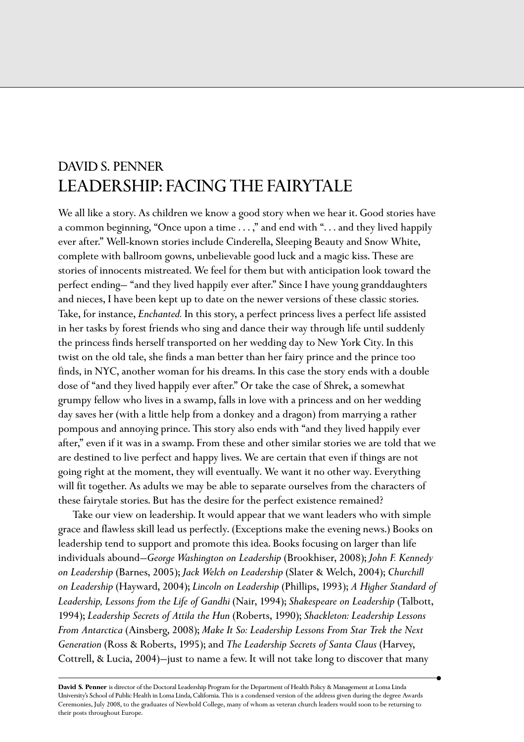## DAVID S. PENNER LEADERSHIP: FACING THE FAIRYTALE

We all like a story. As children we know a good story when we hear it. Good stories have a common beginning, "Once upon a time . . . ," and end with ". . . and they lived happily ever after." Well-known stories include Cinderella, Sleeping Beauty and Snow White, complete with ballroom gowns, unbelievable good luck and a magic kiss. These are stories of innocents mistreated. We feel for them but with anticipation look toward the perfect ending— "and they lived happily ever after." Since I have young granddaughters and nieces, I have been kept up to date on the newer versions of these classic stories. Take, for instance, *Enchanted.* In this story, a perfect princess lives a perfect life assisted in her tasks by forest friends who sing and dance their way through life until suddenly the princess finds herself transported on her wedding day to New York City. In this twist on the old tale, she finds a man better than her fairy prince and the prince too finds, in NYC, another woman for his dreams. In this case the story ends with a double dose of "and they lived happily ever after." Or take the case of Shrek, a somewhat grumpy fellow who lives in a swamp, falls in love with a princess and on her wedding day saves her (with a little help from a donkey and a dragon) from marrying a rather pompous and annoying prince. This story also ends with "and they lived happily ever after," even if it was in a swamp. From these and other similar stories we are told that we are destined to live perfect and happy lives. We are certain that even if things are not going right at the moment, they will eventually. We want it no other way. Everything will fit together. As adults we may be able to separate ourselves from the characters of these fairytale stories. But has the desire for the perfect existence remained?

Take our view on leadership. It would appear that we want leaders who with simple grace and flawless skill lead us perfectly. (Exceptions make the evening news.) Books on leadership tend to support and promote this idea. Books focusing on larger than life individuals abound—*George Washington on Leadership* (Brookhiser, 2008); *John F. Kennedy on Leadership* (Barnes, 2005); *Jack Welch on Leadership* (Slater & Welch, 2004); *Churchill on Leadership* (Hayward, 2004); *Lincoln on Leadership* (Phillips, 1993); *A Higher Standard of Leadership, Lessons from the Life of Gandhi* (Nair, 1994); *Shakespeare on Leadership* (Talbott, 1994); *Leadership Secrets of Attila the Hun* (Roberts, 1990); *Shackleton: Leadership Lessons From Antarctica* (Ainsberg, 2008); *Make It So: Leadership Lessons From Star Trek the Next Generation* (Ross & Roberts, 1995); and *The Leadership Secrets of Santa Claus* (Harvey, Cottrell, & Lucia, 2004)—just to name a few. It will not take long to discover that many

**David S. Penner** is director of the Doctoral Leadership Program for the Department of Health Policy & Management at Loma Linda University's School of Public Health in Loma Linda, California. This is a condensed version of the address given during the degree Awards Ceremonies, July 2008, to the graduates of Newbold College, many of whom as veteran church leaders would soon to be returning to their posts throughout Europe.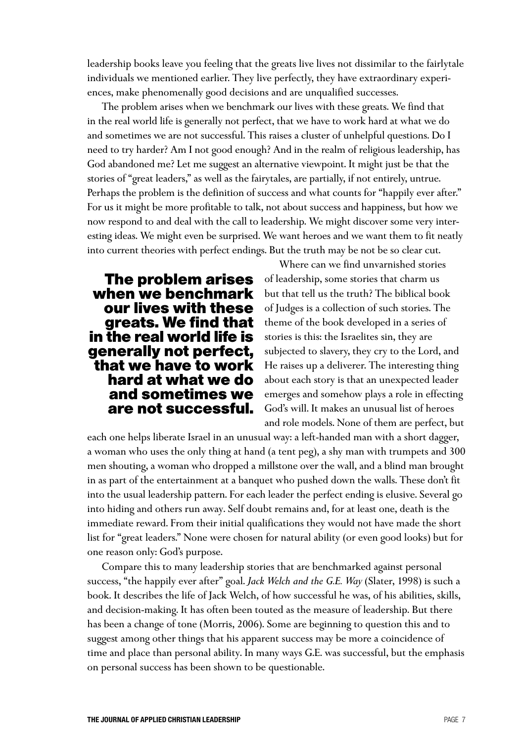leadership books leave you feeling that the greats live lives not dissimilar to the fairlytale individuals we mentioned earlier. They live perfectly, they have extraordinary experiences, make phenomenally good decisions and are unqualified successes.

The problem arises when we benchmark our lives with these greats. We find that in the real world life is generally not perfect, that we have to work hard at what we do and sometimes we are not successful. This raises a cluster of unhelpful questions. Do I need to try harder? Am I not good enough? And in the realm of religious leadership, has God abandoned me? Let me suggest an alternative viewpoint. It might just be that the stories of "great leaders," as well as the fairytales, are partially, if not entirely, untrue. Perhaps the problem is the definition of success and what counts for "happily ever after." For us it might be more profitable to talk, not about success and happiness, but how we now respond to and deal with the call to leadership. We might discover some very interesting ideas. We might even be surprised. We want heroes and we want them to fit neatly into current theories with perfect endings. But the truth may be not be so clear cut.

## **The problem arises when we benchmark our lives with these greats. We find that in the real world life is generally not perfect, that we have to work hard at what we do and sometimes we are not successful.**

Where can we find unvarnished stories of leadership, some stories that charm us but that tell us the truth? The biblical book of Judges is a collection of such stories. The theme of the book developed in a series of stories is this: the Israelites sin, they are subjected to slavery, they cry to the Lord, and He raises up a deliverer. The interesting thing about each story is that an unexpected leader emerges and somehow plays a role in effecting God's will. It makes an unusual list of heroes and role models. None of them are perfect, but

each one helps liberate Israel in an unusual way: a left-handed man with a short dagger, a woman who uses the only thing at hand (a tent peg), a shy man with trumpets and 300 men shouting, a woman who dropped a millstone over the wall, and a blind man brought in as part of the entertainment at a banquet who pushed down the walls. These don't fit into the usual leadership pattern. For each leader the perfect ending is elusive. Several go into hiding and others run away. Self doubt remains and, for at least one, death is the immediate reward. From their initial qualifications they would not have made the short list for "great leaders." None were chosen for natural ability (or even good looks) but for one reason only: God's purpose.

Compare this to many leadership stories that are benchmarked against personal success, "the happily ever after" goal. *Jack Welch and the G.E. Way* (Slater, 1998) is such a book. It describes the life of Jack Welch, of how successful he was, of his abilities, skills, and decision-making. It has often been touted as the measure of leadership. But there has been a change of tone (Morris, 2006). Some are beginning to question this and to suggest among other things that his apparent success may be more a coincidence of time and place than personal ability. In many ways G.E. was successful, but the emphasis on personal success has been shown to be questionable.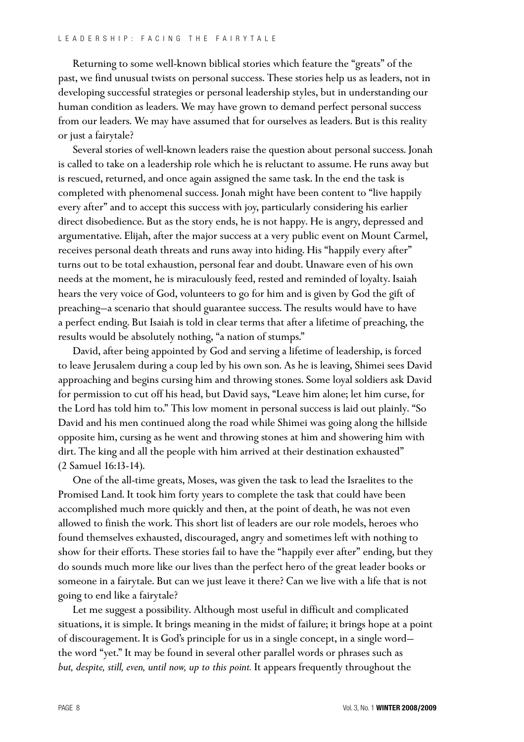Returning to some well-known biblical stories which feature the "greats" of the past, we find unusual twists on personal success. These stories help us as leaders, not in developing successful strategies or personal leadership styles, but in understanding our human condition as leaders. We may have grown to demand perfect personal success from our leaders. We may have assumed that for ourselves as leaders. But is this reality or just a fairytale?

Several stories of well-known leaders raise the question about personal success. Jonah is called to take on a leadership role which he is reluctant to assume. He runs away but is rescued, returned, and once again assigned the same task. In the end the task is completed with phenomenal success. Jonah might have been content to "live happily every after" and to accept this success with joy, particularly considering his earlier direct disobedience. But as the story ends, he is not happy. He is angry, depressed and argumentative. Elijah, after the major success at a very public event on Mount Carmel, receives personal death threats and runs away into hiding. His "happily every after" turns out to be total exhaustion, personal fear and doubt. Unaware even of his own needs at the moment, he is miraculously feed, rested and reminded of loyalty. Isaiah hears the very voice of God, volunteers to go for him and is given by God the gift of preaching—a scenario that should guarantee success. The results would have to have a perfect ending. But Isaiah is told in clear terms that after a lifetime of preaching, the results would be absolutely nothing, "a nation of stumps."

David, after being appointed by God and serving a lifetime of leadership, is forced to leave Jerusalem during a coup led by his own son. As he is leaving, Shimei sees David approaching and begins cursing him and throwing stones. Some loyal soldiers ask David for permission to cut off his head, but David says, "Leave him alone; let him curse, for the Lord has told him to." This low moment in personal success is laid out plainly. "So David and his men continued along the road while Shimei was going along the hillside opposite him, cursing as he went and throwing stones at him and showering him with dirt. The king and all the people with him arrived at their destination exhausted" (2 Samuel 16:13-14).

One of the all-time greats, Moses, was given the task to lead the Israelites to the Promised Land. It took him forty years to complete the task that could have been accomplished much more quickly and then, at the point of death, he was not even allowed to finish the work. This short list of leaders are our role models, heroes who found themselves exhausted, discouraged, angry and sometimes left with nothing to show for their efforts. These stories fail to have the "happily ever after" ending, but they do sounds much more like our lives than the perfect hero of the great leader books or someone in a fairytale. But can we just leave it there? Can we live with a life that is not going to end like a fairytale?

Let me suggest a possibility. Although most useful in difficult and complicated situations, it is simple. It brings meaning in the midst of failure; it brings hope at a point of discouragement. It is God's principle for us in a single concept, in a single word the word "yet." It may be found in several other parallel words or phrases such as *but, despite, still, even, until now, up to this point.* It appears frequently throughout the